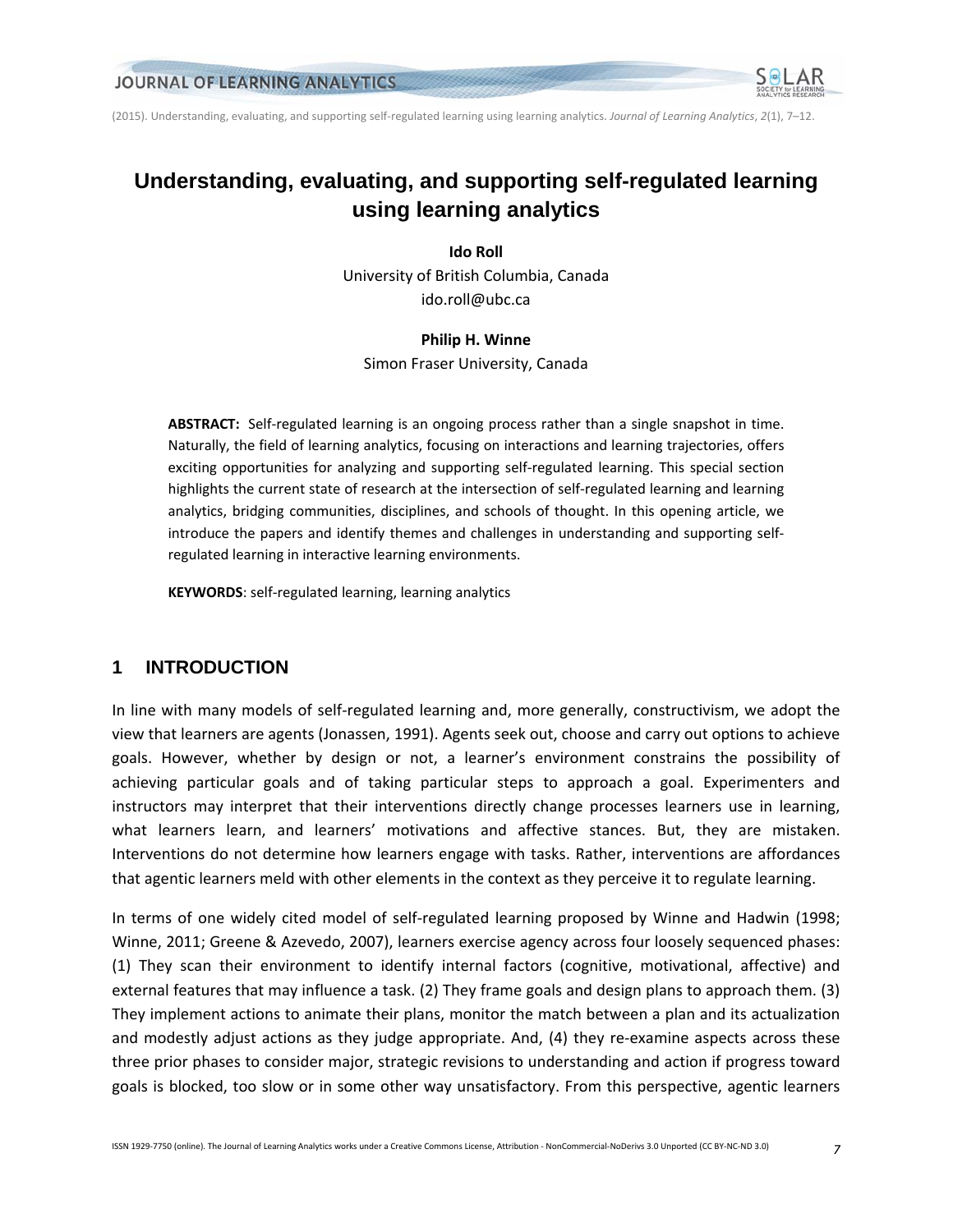(2015). Understanding, evaluating, and supporting self‐regulated learning using learning analytics. *Journal of Learning Analytics*, *2*(1), 7–12.

# **Understanding, evaluating, and supporting self-regulated learning using learning analytics**

**Ido Roll** University of British Columbia, Canada ido.roll@ubc.ca

### **Philip H. Winne**

Simon Fraser University, Canada

**ABSTRACT:** Self‐regulated learning is an ongoing process rather than a single snapshot in time. Naturally, the field of learning analytics, focusing on interactions and learning trajectories, offers exciting opportunities for analyzing and supporting self-regulated learning. This special section highlights the current state of research at the intersection of self-regulated learning and learning analytics, bridging communities, disciplines, and schools of thought. In this opening article, we introduce the papers and identify themes and challenges in understanding and supporting self‐ regulated learning in interactive learning environments.

**KEYWORDS**: self‐regulated learning, learning analytics

## **1 INTRODUCTION**

In line with many models of self‐regulated learning and, more generally, constructivism, we adopt the view that learners are agents (Jonassen, 1991). Agents seek out, choose and carry out options to achieve goals. However, whether by design or not, a learner's environment constrains the possibility of achieving particular goals and of taking particular steps to approach a goal. Experimenters and instructors may interpret that their interventions directly change processes learners use in learning, what learners learn, and learners' motivations and affective stances. But, they are mistaken. Interventions do not determine how learners engage with tasks. Rather, interventions are affordances that agentic learners meld with other elements in the context as they perceive it to regulate learning.

In terms of one widely cited model of self-regulated learning proposed by Winne and Hadwin (1998; Winne, 2011; Greene & Azevedo, 2007), learners exercise agency across four loosely sequenced phases: (1) They scan their environment to identify internal factors (cognitive, motivational, affective) and external features that may influence a task. (2) They frame goals and design plans to approach them. (3) They implement actions to animate their plans, monitor the match between a plan and its actualization and modestly adjust actions as they judge appropriate. And, (4) they re-examine aspects across these three prior phases to consider major, strategic revisions to understanding and action if progress toward goals is blocked, too slow or in some other way unsatisfactory. From this perspective, agentic learners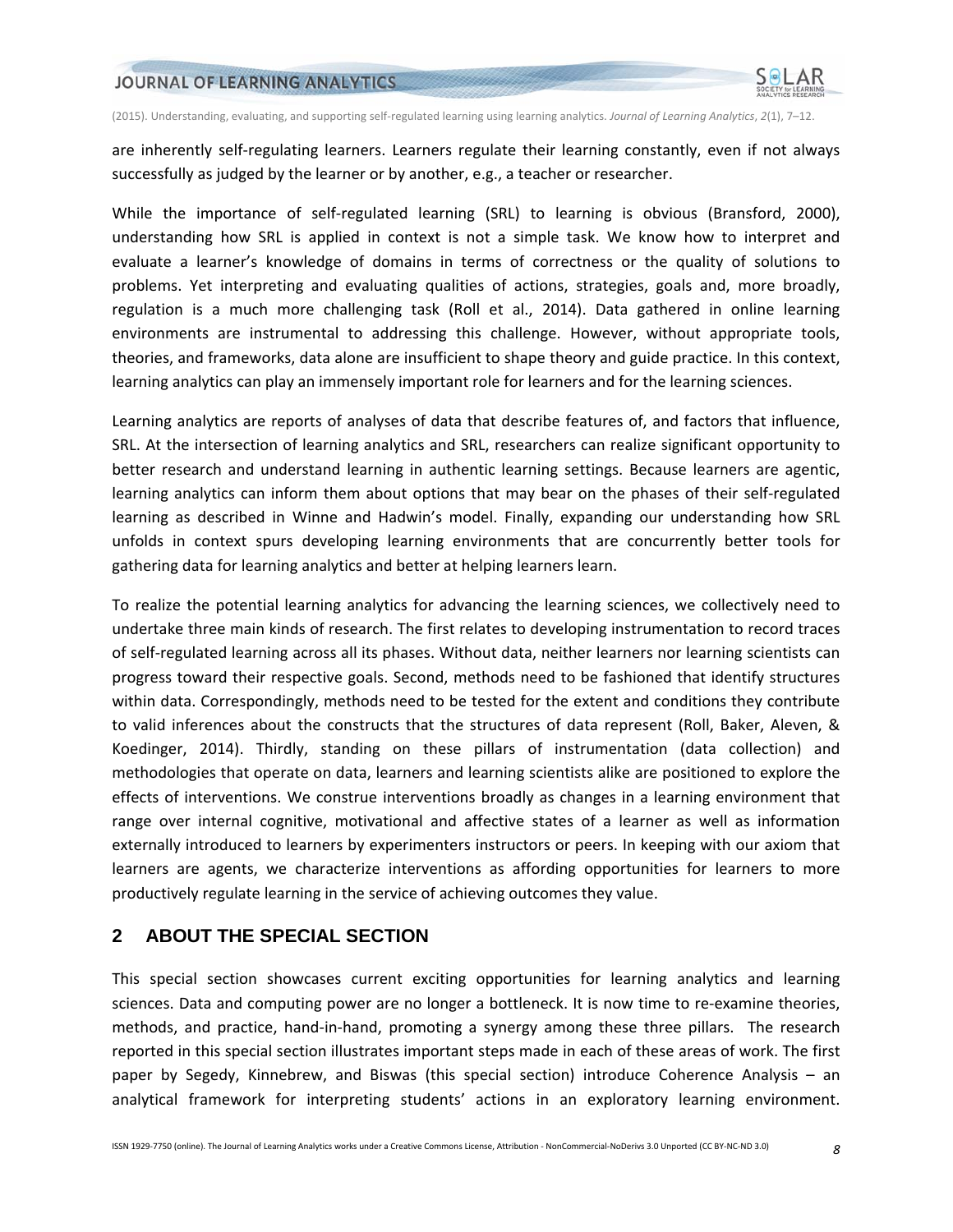

(2015). Understanding, evaluating, and supporting self‐regulated learning using learning analytics. *Journal of Learning Analytics*, *2*(1), 7–12.

are inherently self-regulating learners. Learners regulate their learning constantly, even if not always successfully as judged by the learner or by another, e.g., a teacher or researcher.

While the importance of self-regulated learning (SRL) to learning is obvious (Bransford, 2000), understanding how SRL is applied in context is not a simple task. We know how to interpret and evaluate a learner's knowledge of domains in terms of correctness or the quality of solutions to problems. Yet interpreting and evaluating qualities of actions, strategies, goals and, more broadly, regulation is a much more challenging task (Roll et al., 2014). Data gathered in online learning environments are instrumental to addressing this challenge. However, without appropriate tools, theories, and frameworks, data alone are insufficient to shape theory and guide practice. In this context, learning analytics can play an immensely important role for learners and for the learning sciences.

Learning analytics are reports of analyses of data that describe features of, and factors that influence, SRL. At the intersection of learning analytics and SRL, researchers can realize significant opportunity to better research and understand learning in authentic learning settings. Because learners are agentic, learning analytics can inform them about options that may bear on the phases of their self‐regulated learning as described in Winne and Hadwin's model. Finally, expanding our understanding how SRL unfolds in context spurs developing learning environments that are concurrently better tools for gathering data for learning analytics and better at helping learners learn.

To realize the potential learning analytics for advancing the learning sciences, we collectively need to undertake three main kinds of research. The first relates to developing instrumentation to record traces of self‐regulated learning across all its phases. Without data, neither learners nor learning scientists can progress toward their respective goals. Second, methods need to be fashioned that identify structures within data. Correspondingly, methods need to be tested for the extent and conditions they contribute to valid inferences about the constructs that the structures of data represent (Roll, Baker, Aleven, & Koedinger, 2014). Thirdly, standing on these pillars of instrumentation (data collection) and methodologies that operate on data, learners and learning scientists alike are positioned to explore the effects of interventions. We construe interventions broadly as changes in a learning environment that range over internal cognitive, motivational and affective states of a learner as well as information externally introduced to learners by experimenters instructors or peers. In keeping with our axiom that learners are agents, we characterize interventions as affording opportunities for learners to more productively regulate learning in the service of achieving outcomes they value.

# **2 ABOUT THE SPECIAL SECTION**

This special section showcases current exciting opportunities for learning analytics and learning sciences. Data and computing power are no longer a bottleneck. It is now time to re‐examine theories, methods, and practice, hand-in-hand, promoting a synergy among these three pillars. The research reported in this special section illustrates important steps made in each of these areas of work. The first paper by Segedy, Kinnebrew, and Biswas (this special section) introduce Coherence Analysis – an analytical framework for interpreting students' actions in an exploratory learning environment.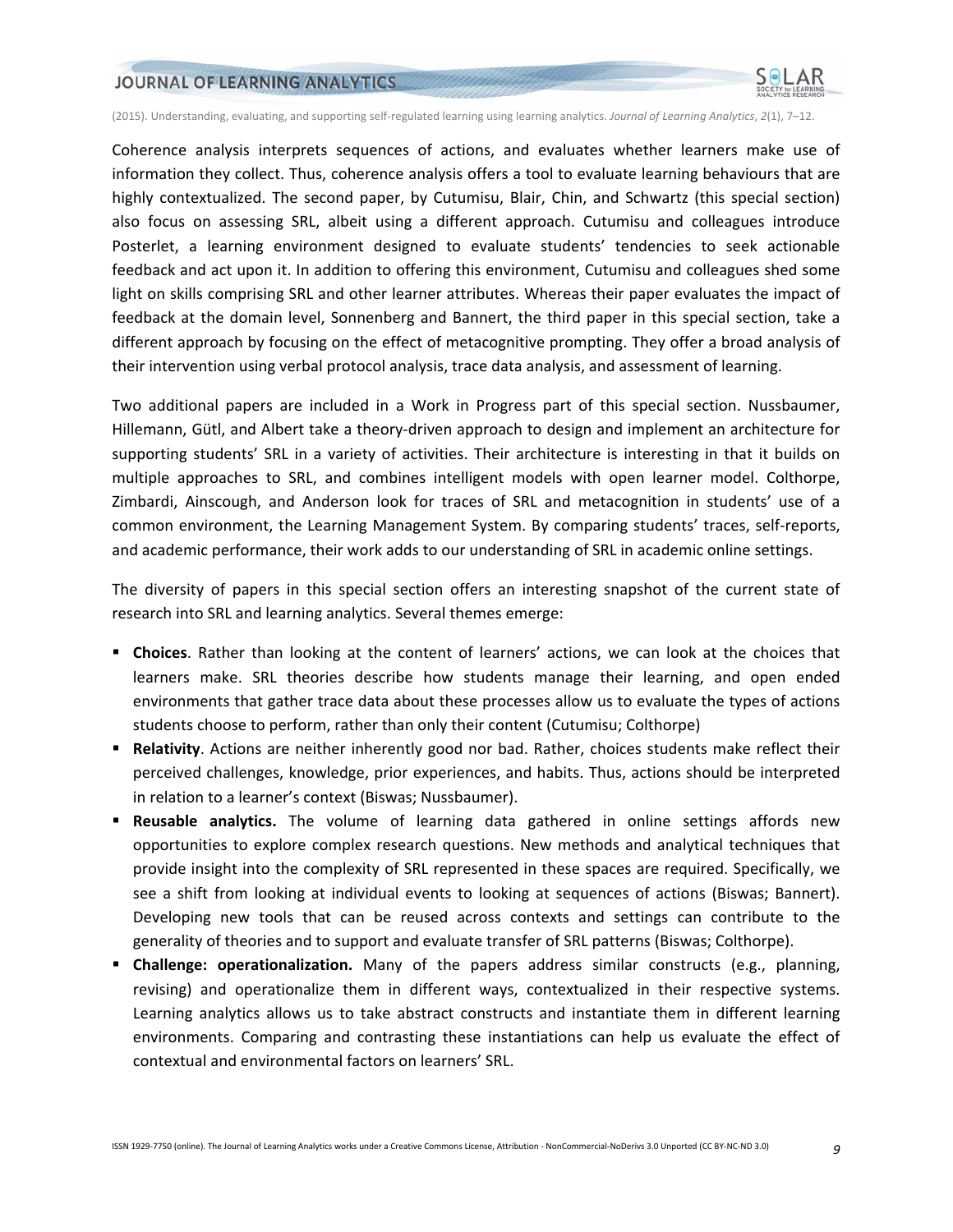

(2015). Understanding, evaluating, and supporting self‐regulated learning using learning analytics. *Journal of Learning Analytics*, *2*(1), 7–12.

Coherence analysis interprets sequences of actions, and evaluates whether learners make use of information they collect. Thus, coherence analysis offers a tool to evaluate learning behaviours that are highly contextualized. The second paper, by Cutumisu, Blair, Chin, and Schwartz (this special section) also focus on assessing SRL, albeit using a different approach. Cutumisu and colleagues introduce Posterlet, a learning environment designed to evaluate students' tendencies to seek actionable feedback and act upon it. In addition to offering this environment, Cutumisu and colleagues shed some light on skills comprising SRL and other learner attributes. Whereas their paper evaluates the impact of feedback at the domain level, Sonnenberg and Bannert, the third paper in this special section, take a different approach by focusing on the effect of metacognitive prompting. They offer a broad analysis of their intervention using verbal protocol analysis, trace data analysis, and assessment of learning.

Two additional papers are included in a Work in Progress part of this special section. Nussbaumer, Hillemann, Gütl, and Albert take a theory‐driven approach to design and implement an architecture for supporting students' SRL in a variety of activities. Their architecture is interesting in that it builds on multiple approaches to SRL, and combines intelligent models with open learner model. Colthorpe, Zimbardi, Ainscough, and Anderson look for traces of SRL and metacognition in students' use of a common environment, the Learning Management System. By comparing students' traces, self-reports, and academic performance, their work adds to our understanding of SRL in academic online settings.

The diversity of papers in this special section offers an interesting snapshot of the current state of research into SRL and learning analytics. Several themes emerge:

- **Choices**. Rather than looking at the content of learners' actions, we can look at the choices that learners make. SRL theories describe how students manage their learning, and open ended environments that gather trace data about these processes allow us to evaluate the types of actions students choose to perform, rather than only their content (Cutumisu; Colthorpe)
- **Relativity**. Actions are neither inherently good nor bad. Rather, choices students make reflect their perceived challenges, knowledge, prior experiences, and habits. Thus, actions should be interpreted in relation to a learner's context (Biswas; Nussbaumer).
- **Reusable analytics.** The volume of learning data gathered in online settings affords new opportunities to explore complex research questions. New methods and analytical techniques that provide insight into the complexity of SRL represented in these spaces are required. Specifically, we see a shift from looking at individual events to looking at sequences of actions (Biswas; Bannert). Developing new tools that can be reused across contexts and settings can contribute to the generality of theories and to support and evaluate transfer of SRL patterns (Biswas; Colthorpe).
- **Challenge: operationalization.** Many of the papers address similar constructs (e.g., planning, revising) and operationalize them in different ways, contextualized in their respective systems. Learning analytics allows us to take abstract constructs and instantiate them in different learning environments. Comparing and contrasting these instantiations can help us evaluate the effect of contextual and environmental factors on learners' SRL.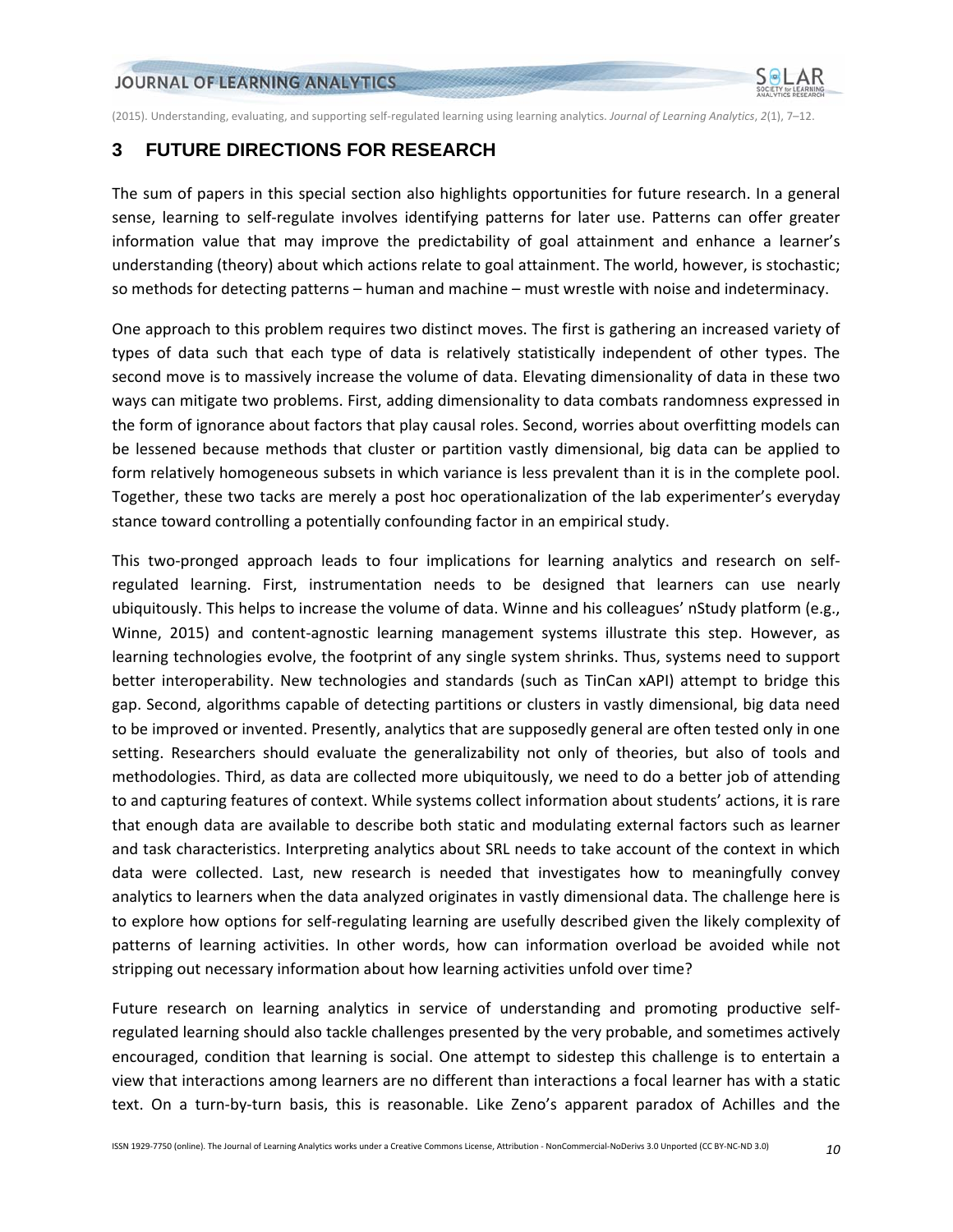

(2015). Understanding, evaluating, and supporting self‐regulated learning using learning analytics. *Journal of Learning Analytics*, *2*(1), 7–12.

# **3 FUTURE DIRECTIONS FOR RESEARCH**

The sum of papers in this special section also highlights opportunities for future research. In a general sense, learning to self-regulate involves identifying patterns for later use. Patterns can offer greater information value that may improve the predictability of goal attainment and enhance a learner's understanding (theory) about which actions relate to goal attainment. The world, however, is stochastic; so methods for detecting patterns – human and machine – must wrestle with noise and indeterminacy.

One approach to this problem requires two distinct moves. The first is gathering an increased variety of types of data such that each type of data is relatively statistically independent of other types. The second move is to massively increase the volume of data. Elevating dimensionality of data in these two ways can mitigate two problems. First, adding dimensionality to data combats randomness expressed in the form of ignorance about factors that play causal roles. Second, worries about overfitting models can be lessened because methods that cluster or partition vastly dimensional, big data can be applied to form relatively homogeneous subsets in which variance is less prevalent than it is in the complete pool. Together, these two tacks are merely a post hoc operationalization of the lab experimenter's everyday stance toward controlling a potentially confounding factor in an empirical study.

This two-pronged approach leads to four implications for learning analytics and research on selfregulated learning. First, instrumentation needs to be designed that learners can use nearly ubiquitously. This helps to increase the volume of data. Winne and his colleagues' nStudy platform (e.g., Winne, 2015) and content-agnostic learning management systems illustrate this step. However, as learning technologies evolve, the footprint of any single system shrinks. Thus, systems need to support better interoperability. New technologies and standards (such as TinCan xAPI) attempt to bridge this gap. Second, algorithms capable of detecting partitions or clusters in vastly dimensional, big data need to be improved or invented. Presently, analytics that are supposedly general are often tested only in one setting. Researchers should evaluate the generalizability not only of theories, but also of tools and methodologies. Third, as data are collected more ubiquitously, we need to do a better job of attending to and capturing features of context. While systems collect information about students' actions, it is rare that enough data are available to describe both static and modulating external factors such as learner and task characteristics. Interpreting analytics about SRL needs to take account of the context in which data were collected. Last, new research is needed that investigates how to meaningfully convey analytics to learners when the data analyzed originates in vastly dimensional data. The challenge here is to explore how options for self‐regulating learning are usefully described given the likely complexity of patterns of learning activities. In other words, how can information overload be avoided while not stripping out necessary information about how learning activities unfold over time?

Future research on learning analytics in service of understanding and promoting productive selfregulated learning should also tackle challenges presented by the very probable, and sometimes actively encouraged, condition that learning is social. One attempt to sidestep this challenge is to entertain a view that interactions among learners are no different than interactions a focal learner has with a static text. On a turn-by-turn basis, this is reasonable. Like Zeno's apparent paradox of Achilles and the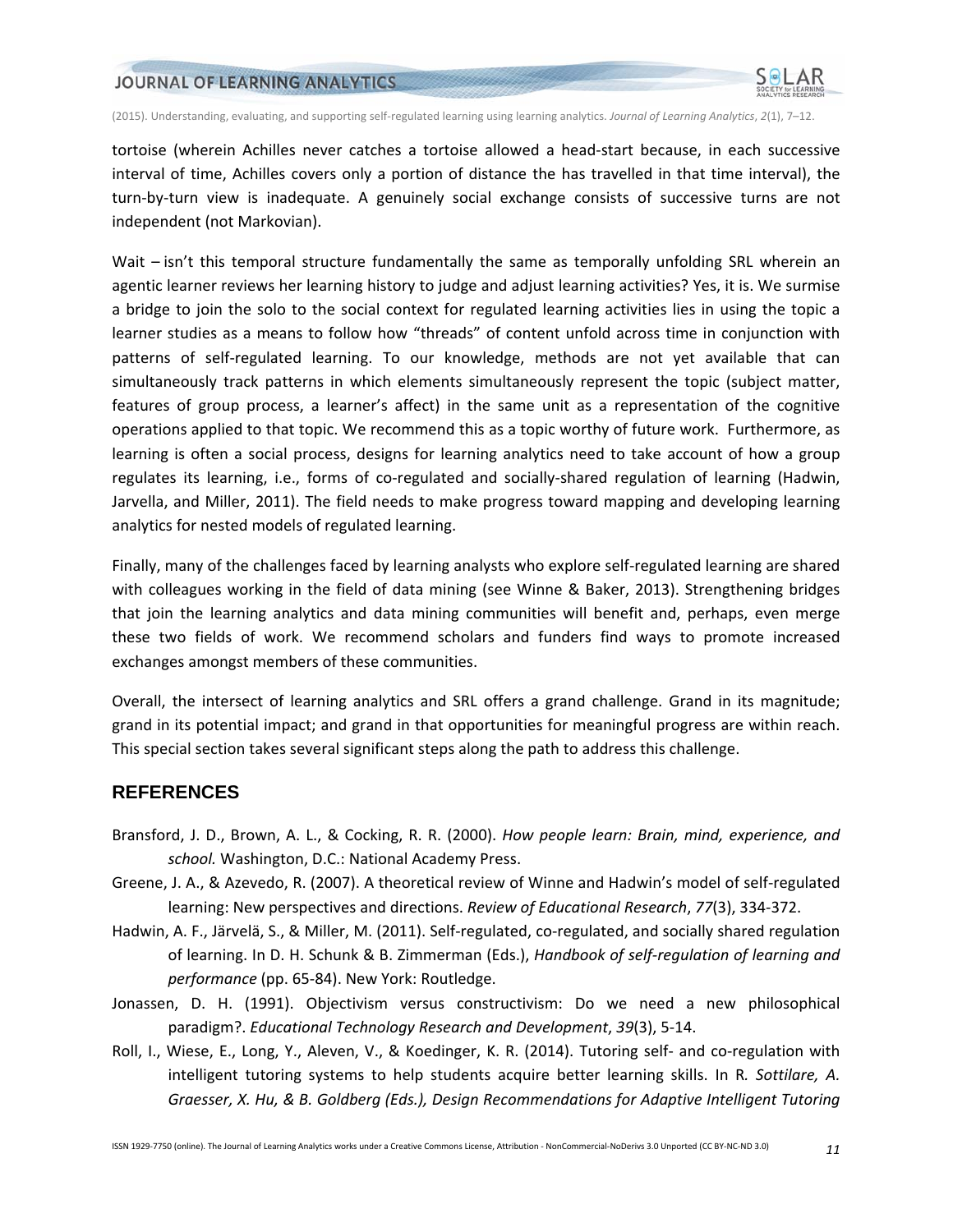

(2015). Understanding, evaluating, and supporting self‐regulated learning using learning analytics. *Journal of Learning Analytics*, *2*(1), 7–12.

tortoise (wherein Achilles never catches a tortoise allowed a head‐start because, in each successive interval of time, Achilles covers only a portion of distance the has travelled in that time interval), the turn‐by‐turn view is inadequate. A genuinely social exchange consists of successive turns are not independent (not Markovian).

Wait – isn't this temporal structure fundamentally the same as temporally unfolding SRL wherein an agentic learner reviews her learning history to judge and adjust learning activities? Yes, it is. We surmise a bridge to join the solo to the social context for regulated learning activities lies in using the topic a learner studies as a means to follow how "threads" of content unfold across time in conjunction with patterns of self‐regulated learning. To our knowledge, methods are not yet available that can simultaneously track patterns in which elements simultaneously represent the topic (subject matter, features of group process, a learner's affect) in the same unit as a representation of the cognitive operations applied to that topic. We recommend this as a topic worthy of future work. Furthermore, as learning is often a social process, designs for learning analytics need to take account of how a group regulates its learning, i.e., forms of co-regulated and socially-shared regulation of learning (Hadwin, Jarvella, and Miller, 2011). The field needs to make progress toward mapping and developing learning analytics for nested models of regulated learning.

Finally, many of the challenges faced by learning analysts who explore self-regulated learning are shared with colleagues working in the field of data mining (see Winne & Baker, 2013). Strengthening bridges that join the learning analytics and data mining communities will benefit and, perhaps, even merge these two fields of work. We recommend scholars and funders find ways to promote increased exchanges amongst members of these communities.

Overall, the intersect of learning analytics and SRL offers a grand challenge. Grand in its magnitude; grand in its potential impact; and grand in that opportunities for meaningful progress are within reach. This special section takes several significant steps along the path to address this challenge.

## **REFERENCES**

- Bransford, J. D., Brown, A. L., & Cocking, R. R. (2000). *How people learn: Brain, mind, experience, and school.* Washington, D.C.: National Academy Press.
- Greene, J. A., & Azevedo, R. (2007). A theoretical review of Winne and Hadwin's model of self‐regulated learning: New perspectives and directions. *Review of Educational Research*, *77*(3), 334‐372.
- Hadwin, A. F., Järvelä, S., & Miller, M. (2011). Self-regulated, co-regulated, and socially shared regulation of learning. In D. H. Schunk & B. Zimmerman (Eds.), *Handbook of self‐regulation of learning and performance* (pp. 65‐84). New York: Routledge.
- Jonassen, D. H. (1991). Objectivism versus constructivism: Do we need a new philosophical paradigm?. *Educational Technology Research and Development*, *39*(3), 5‐14.
- Roll, I., Wiese, E., Long, Y., Aleven, V., & Koedinger, K. R. (2014). Tutoring self- and co-regulation with intelligent tutoring systems to help students acquire better learning skills. In R*. Sottilare, A. Graesser, X. Hu, & B. Goldberg (Eds.), Design Recommendations for Adaptive Intelligent Tutoring*